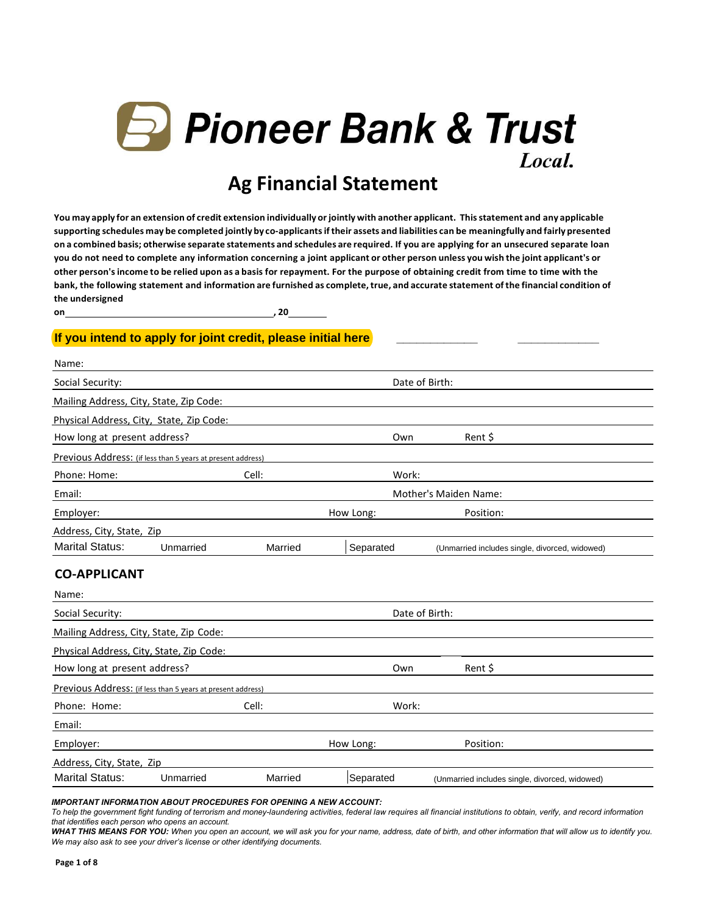

# **Ag Financial Statement**

You may apply for an extension of credit extension individually or jointly with another applicant. This statement and any applicable supporting schedules may be completed jointly by co-applicants if their assets and liabilities can be meaningfully and fairly presented **on a combined basis; otherwise separate statements and schedules are required. If you are applying for an unsecured separate loan you do not need to complete any information concerning a joint applicant or other person unless you wish the joint applicant's or other person'sincome to be relied upon as a basis for repayment. For the purpose of obtaining credit from time to time with the bank, the following statement and information are furnished as complete,true, and accurate statement ofthe financial condition of the undersigned**

**on , 20**

#### **If you intend to apply for joint credit, please initial here**

| Name:                                                       |           |         |           |                                                |  |  |  |
|-------------------------------------------------------------|-----------|---------|-----------|------------------------------------------------|--|--|--|
| Social Security:                                            |           |         |           | Date of Birth:                                 |  |  |  |
| Mailing Address, City, State, Zip Code:                     |           |         |           |                                                |  |  |  |
| Physical Address, City, State, Zip Code:                    |           |         |           |                                                |  |  |  |
| How long at present address?                                |           |         | Own       | Rent \$                                        |  |  |  |
| Previous Address: (if less than 5 years at present address) |           |         |           |                                                |  |  |  |
| Phone: Home:                                                |           | Cell:   | Work:     |                                                |  |  |  |
| Email:                                                      |           |         |           | Mother's Maiden Name:                          |  |  |  |
| Employer:                                                   |           |         | How Long: | Position:                                      |  |  |  |
| Address, City, State, Zip                                   |           |         |           |                                                |  |  |  |
| <b>Marital Status:</b>                                      | Unmarried | Married | Separated | (Unmarried includes single, divorced, widowed) |  |  |  |

#### **CO-APPLICANT**

| Name:                                                       |           |         |                |                                                |  |
|-------------------------------------------------------------|-----------|---------|----------------|------------------------------------------------|--|
| Social Security:                                            |           |         | Date of Birth: |                                                |  |
| Mailing Address, City, State, Zip Code:                     |           |         |                |                                                |  |
| Physical Address, City, State, Zip Code:                    |           |         |                |                                                |  |
| How long at present address?                                |           |         | Own            | Rent \$                                        |  |
| Previous Address: (if less than 5 years at present address) |           |         |                |                                                |  |
| Phone: Home:                                                |           | Cell:   | Work:          |                                                |  |
| Email:                                                      |           |         |                |                                                |  |
| Employer:                                                   |           |         | How Long:      | Position:                                      |  |
| Address, City, State, Zip                                   |           |         |                |                                                |  |
| <b>Marital Status:</b>                                      | Unmarried | Married | Separated      | (Unmarried includes single, divorced, widowed) |  |

*IMPORTANT INFORMATION ABOUT PROCEDURES FOR OPENING A NEW ACCOUNT:* 

*To help the government fight funding of terrorism and money-laundering activities, federal law requires all financial institutions to obtain, verify, and record information that identifies each person who opens an account.* 

*WHAT THIS MEANS FOR YOU: When you open an account, we will ask you for your name, address, date of birth, and other information that will allow us to identify you. We may also ask to see your driver's license or other identifying documents.*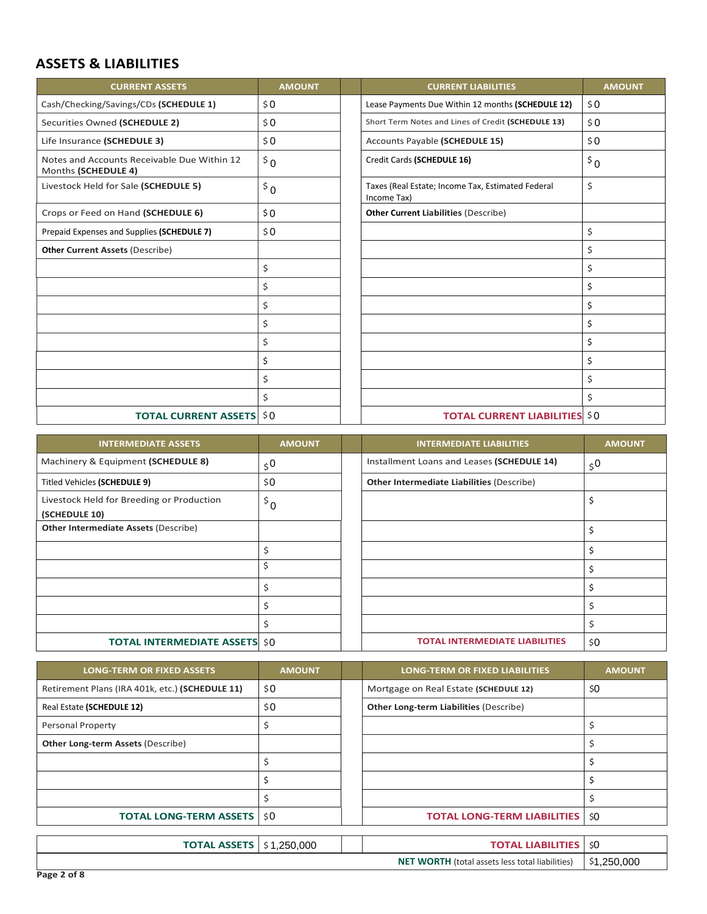#### **ASSETS & LIABILITIES**

| <b>CURRENT ASSETS</b>                                              | <b>AMOUNT</b> | <b>CURRENT LIABILITIES</b>                                       | <b>AMOUNT</b> |
|--------------------------------------------------------------------|---------------|------------------------------------------------------------------|---------------|
| Cash/Checking/Savings/CDs (SCHEDULE 1)                             | \$0\$         | Lease Payments Due Within 12 months (SCHEDULE 12)                | \$0\$         |
| Securities Owned (SCHEDULE 2)                                      | \$0           | Short Term Notes and Lines of Credit (SCHEDULE 13)               | \$0           |
| Life Insurance (SCHEDULE 3)                                        | \$0\$         | Accounts Payable (SCHEDULE 15)                                   | \$0\$         |
| Notes and Accounts Receivable Due Within 12<br>Months (SCHEDULE 4) | $5^{\circ}$   | Credit Cards (SCHEDULE 16)                                       | $5^{\circ}$   |
| Livestock Held for Sale (SCHEDULE 5)                               | $\bar{5}0$    | Taxes (Real Estate; Income Tax, Estimated Federal<br>Income Tax) | \$            |
| Crops or Feed on Hand (SCHEDULE 6)                                 | \$0           | <b>Other Current Liabilities (Describe)</b>                      |               |
| Prepaid Expenses and Supplies (SCHEDULE 7)                         | \$0\$         |                                                                  | \$            |
| <b>Other Current Assets (Describe)</b>                             |               |                                                                  | \$            |
|                                                                    | \$            |                                                                  | \$            |
|                                                                    | \$            |                                                                  | \$            |
|                                                                    | \$            |                                                                  | \$            |
|                                                                    | \$            |                                                                  | \$            |
|                                                                    | \$            |                                                                  | \$            |
|                                                                    | \$            |                                                                  | \$            |
|                                                                    | \$            |                                                                  | \$            |
|                                                                    | \$            |                                                                  | \$            |
| <b>TOTAL CURRENT ASSETS</b>                                        | \$0           | <b>TOTAL CURRENT LIABILITIES</b>                                 | \$0           |

| <b>INTERMEDIATE ASSETS</b>                                 | <b>AMOUNT</b>  | <b>INTERMEDIATE LIABILITIES</b>                  | <b>AMOUNT</b>  |
|------------------------------------------------------------|----------------|--------------------------------------------------|----------------|
| Machinery & Equipment (SCHEDULE 8)                         | 5 <sup>0</sup> | Installment Loans and Leases (SCHEDULE 14)       | 5 <sup>0</sup> |
| Titled Vehicles (SCHEDULE 9)                               | \$0            | <b>Other Intermediate Liabilities (Describe)</b> |                |
| Livestock Held for Breeding or Production<br>(SCHEDULE 10) | $\frac{1}{2}$  |                                                  | \$             |
| <b>Other Intermediate Assets (Describe)</b>                |                |                                                  | \$             |
|                                                            |                |                                                  |                |
|                                                            | \$             |                                                  |                |
|                                                            |                |                                                  | Ś              |
|                                                            |                |                                                  | \$             |
|                                                            |                |                                                  | \$             |
| <b>TOTAL INTERMEDIATE ASSETS \$0</b>                       |                | <b>TOTAL INTERMEDIATE LIABILITIES</b>            | \$0            |

| <b>LONG-TERM OR FIXED ASSETS</b>                | <b>AMOUNT</b> | <b>LONG-TERM OR FIXED LIABILITIES</b>         | <b>AMOUNT</b> |
|-------------------------------------------------|---------------|-----------------------------------------------|---------------|
| Retirement Plans (IRA 401k, etc.) (SCHEDULE 11) | \$0           | Mortgage on Real Estate (SCHEDULE 12)         | \$0           |
| Real Estate (SCHEDULE 12)                       | \$0           | <b>Other Long-term Liabilities (Describe)</b> |               |
| <b>Personal Property</b>                        |               |                                               |               |
| <b>Other Long-term Assets (Describe)</b>        |               |                                               |               |
|                                                 |               |                                               |               |
|                                                 |               |                                               |               |
|                                                 |               |                                               |               |
| <b>TOTAL LONG-TERM ASSETS   \$0</b>             |               | <b>TOTAL LONG-TERM LIABILITIES</b>            | \$0           |
|                                                 |               |                                               |               |
| <b>TOTAL ASSETS</b>                             | \$1,250,000   | <b>TOTAL LIABILITIES</b>                      | \$0           |

| <b>TOTAL ASSETS</b> | .250.000 | <b>IARIL</b><br>ומדרז                                  | \$0         |
|---------------------|----------|--------------------------------------------------------|-------------|
|                     |          | <b>NET WORTH</b> (total assets less total liabilities) | \$1.250.000 |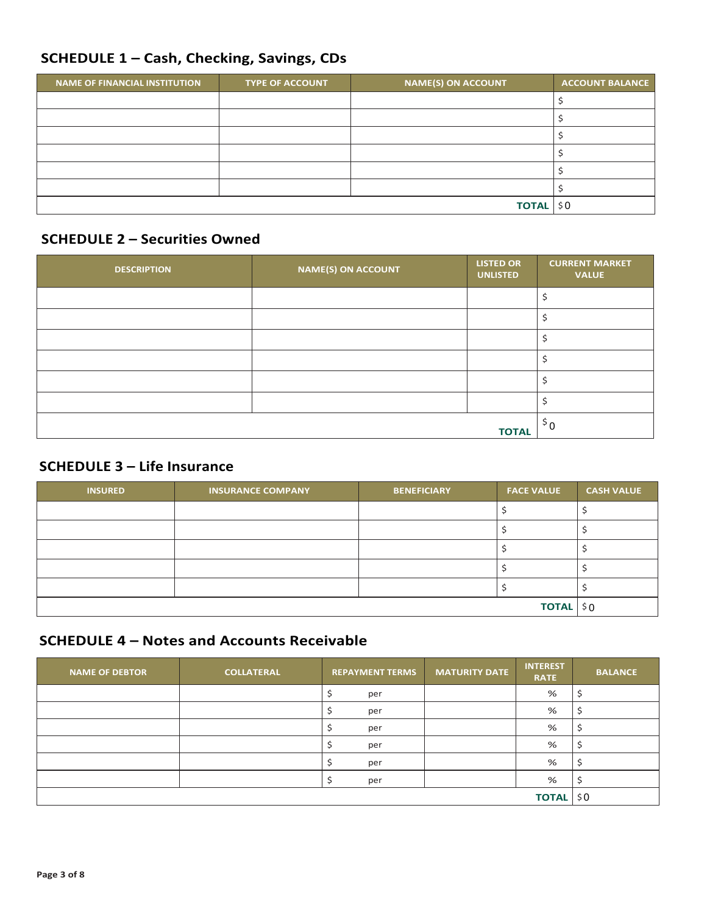### SCHEDULE 1 - Cash, Checking, Savings, CDs

| <b>NAME OF FINANCIAL INSTITUTION</b> | <b>TYPE OF ACCOUNT</b> | <b>NAME(S) ON ACCOUNT</b> | <b>ACCOUNT BALANCE</b> |
|--------------------------------------|------------------------|---------------------------|------------------------|
|                                      |                        |                           |                        |
|                                      |                        |                           |                        |
|                                      |                        |                           |                        |
|                                      |                        |                           |                        |
|                                      |                        |                           |                        |
|                                      |                        |                           |                        |
|                                      | TOTAL \$0              |                           |                        |

#### **SCHEDULE 2 - Securities Owned**

| <b>DESCRIPTION</b> | <b>NAME(S) ON ACCOUNT</b> | <b>LISTED OR</b><br><b>UNLISTED</b> | <b>CURRENT MARKET</b><br><b>VALUE</b> |
|--------------------|---------------------------|-------------------------------------|---------------------------------------|
|                    |                           |                                     |                                       |
|                    |                           |                                     |                                       |
|                    |                           |                                     | э                                     |
|                    |                           |                                     |                                       |
|                    |                           |                                     |                                       |
|                    |                           |                                     |                                       |
|                    |                           | <b>TOTAL</b>                        | $5^{\circ}$                           |

### **SCHEDULE 3 - Life Insurance**

| <b>INSURED</b> | <b>INSURANCE COMPANY</b> | <b>BENEFICIARY</b> | <b>FACE VALUE</b> | <b>CASH VALUE</b> |
|----------------|--------------------------|--------------------|-------------------|-------------------|
|                |                          |                    |                   |                   |
|                |                          |                    |                   |                   |
|                |                          |                    |                   |                   |
|                |                          |                    |                   |                   |
|                |                          |                    |                   |                   |
| TOTAL \$0      |                          |                    |                   |                   |

### **SCHEDULE 4 - Notes and Accounts Receivable**

| <b>NAME OF DEBTOR</b> | <b>COLLATERAL</b> | <b>REPAYMENT TERMS</b> | <b>MATURITY DATE</b> | <b>INTEREST</b><br><b>RATE</b> | <b>BALANCE</b> |
|-----------------------|-------------------|------------------------|----------------------|--------------------------------|----------------|
|                       |                   | per                    |                      | ℅                              |                |
|                       |                   | per                    |                      | %                              |                |
|                       |                   | per                    |                      | %                              |                |
|                       |                   | per                    |                      | %                              |                |
|                       |                   | per                    |                      | %                              |                |
|                       |                   | per                    |                      | %                              |                |
| <b>TOTAL</b>          |                   |                        |                      |                                |                |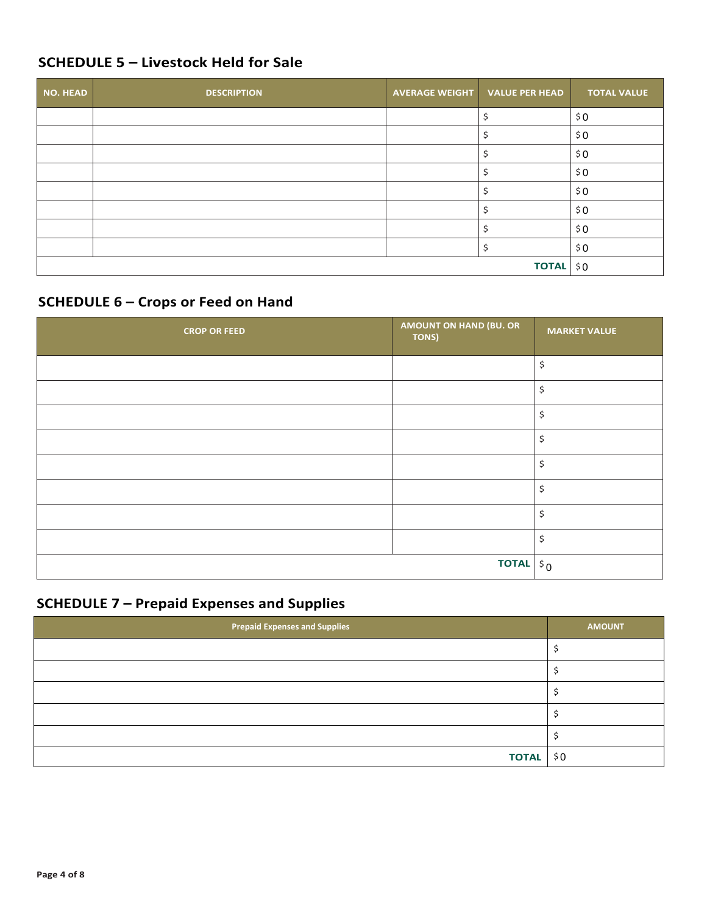# **SCHEDULE 5 – Livestock Held for Sale**

| <b>NO. HEAD</b> | <b>DESCRIPTION</b> | AVERAGE WEIGHT VALUE PER HEAD | <b>TOTAL VALUE</b> |
|-----------------|--------------------|-------------------------------|--------------------|
|                 |                    |                               | \$0                |
|                 |                    |                               | \$0                |
|                 |                    |                               | \$0                |
|                 |                    |                               | \$0                |
|                 |                    |                               | \$0                |
|                 |                    |                               | \$0                |
|                 |                    |                               | \$0                |
|                 |                    |                               | \$0                |
|                 |                    | TOTAL \$0                     |                    |

## **SCHEDULE 6 – Crops or Feed on Hand**

| <b>CROP OR FEED</b> | <b>AMOUNT ON HAND (BU. OR</b><br>TONS) | <b>MARKET VALUE</b> |
|---------------------|----------------------------------------|---------------------|
|                     |                                        | \$                  |
|                     |                                        | Ś                   |
|                     |                                        | \$                  |
|                     |                                        | Ś                   |
|                     |                                        | Ś                   |
|                     |                                        | \$                  |
|                     |                                        | Ś                   |
|                     |                                        |                     |
|                     | <b>TOTAL</b> $ \,\mathbf{\hat{s}}\,0$  |                     |

## **SCHEDULE 7 – Prepaid Expenses and Supplies**

| Prepaid Expenses and Supplies | <b>AMOUNT</b> |
|-------------------------------|---------------|
|                               |               |
|                               |               |
|                               |               |
|                               |               |
|                               |               |
| TOTAL \$0                     |               |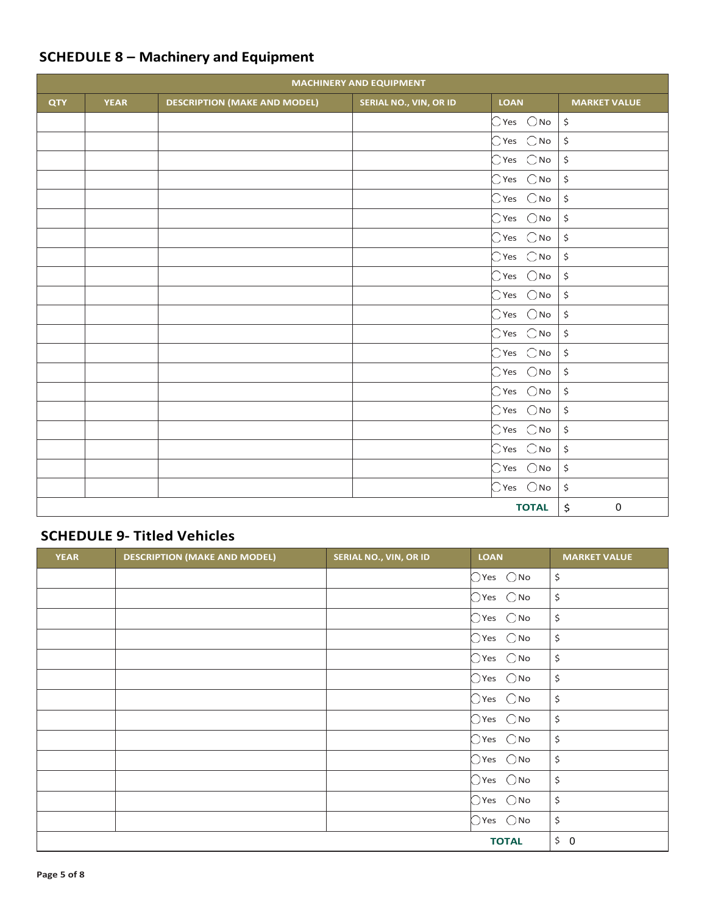| <b>MACHINERY AND EQUIPMENT</b> |             |                                     |                        |                              |                                |  |  |
|--------------------------------|-------------|-------------------------------------|------------------------|------------------------------|--------------------------------|--|--|
| QTY                            | <b>YEAR</b> | <b>DESCRIPTION (MAKE AND MODEL)</b> | SERIAL NO., VIN, OR ID | <b>LOAN</b>                  | <b>MARKET VALUE</b>            |  |  |
|                                |             |                                     |                        | $\bigcirc$ Yes $\bigcirc$ No | $\ddot{\varsigma}$             |  |  |
|                                |             |                                     |                        | $\bigcirc$ Yes $\bigcirc$ No | $\boldsymbol{\dot{\varsigma}}$ |  |  |
|                                |             |                                     |                        | $\bigcirc$ Yes $\bigcirc$ No | $\boldsymbol{\dot{\varsigma}}$ |  |  |
|                                |             |                                     |                        | $\bigcirc$ Yes $\bigcirc$ No | $\boldsymbol{\dot{\varsigma}}$ |  |  |
|                                |             |                                     |                        | $\bigcirc$ Yes $\bigcirc$ No | \$                             |  |  |
|                                |             |                                     |                        | $\bigcirc$ Yes $\bigcirc$ No | $\boldsymbol{\dot{\varsigma}}$ |  |  |
|                                |             |                                     |                        | $\bigcirc$ Yes $\bigcirc$ No | $\boldsymbol{\dot{\varsigma}}$ |  |  |
|                                |             |                                     |                        | $\bigcirc$ Yes $\bigcirc$ No | \$                             |  |  |
|                                |             |                                     |                        | $\bigcirc$ Yes $\bigcirc$ No | $\boldsymbol{\dot{\varsigma}}$ |  |  |
|                                |             |                                     |                        | $\bigcirc$ Yes $\bigcirc$ No | $\boldsymbol{\dot{\varsigma}}$ |  |  |
|                                |             |                                     |                        | $\bigcirc$ Yes $\bigcirc$ No | $\boldsymbol{\dot{\varsigma}}$ |  |  |
|                                |             |                                     |                        | $\bigcirc$ Yes $\bigcirc$ No | $\boldsymbol{\dot{\varsigma}}$ |  |  |
|                                |             |                                     |                        | $\bigcirc$ Yes $\bigcirc$ No | $\boldsymbol{\mathsf{S}}$      |  |  |
|                                |             |                                     |                        | $\bigcirc$ Yes $\bigcirc$ No | $\boldsymbol{\dot{\varsigma}}$ |  |  |
|                                |             |                                     |                        | $\bigcirc$ Yes $\bigcirc$ No | \$                             |  |  |
|                                |             |                                     |                        | $\bigcirc$ Yes $\bigcirc$ No | $\boldsymbol{\dot{\varsigma}}$ |  |  |
|                                |             |                                     |                        | $\bigcirc$ Yes $\bigcirc$ No | $\boldsymbol{\dot{\varsigma}}$ |  |  |
|                                |             |                                     |                        | $\bigcirc$ Yes $\bigcirc$ No | $\boldsymbol{\dot{\varsigma}}$ |  |  |
|                                |             |                                     |                        | $\bigcirc$ Yes $\bigcirc$ No | $\boldsymbol{\zeta}$           |  |  |
|                                |             |                                     |                        | $\bigcirc$ Yes $\bigcirc$ No | \$                             |  |  |
|                                |             |                                     |                        | <b>TOTAL</b>                 | \$<br>$\pmb{0}$                |  |  |

## **SCHEDULE 8 – Machinery and Equipment**

### **SCHEDULE 9- Titled Vehicles**

| <b>YEAR</b> | <b>DESCRIPTION (MAKE AND MODEL)</b> | SERIAL NO., VIN, OR ID | <b>LOAN</b>                  | <b>MARKET VALUE</b>            |
|-------------|-------------------------------------|------------------------|------------------------------|--------------------------------|
|             |                                     |                        | $\bigcirc$ Yes $\bigcirc$ No | $\boldsymbol{\dot{\varsigma}}$ |
|             |                                     |                        | $\bigcirc$ Yes $\bigcirc$ No | \$                             |
|             |                                     |                        | $\bigcirc$ Yes $\bigcirc$ No | \$                             |
|             |                                     |                        | $\bigcirc$ Yes $\bigcirc$ No | \$                             |
|             |                                     |                        | $\bigcirc$ Yes $\bigcirc$ No | \$                             |
|             |                                     |                        | $\bigcirc$ Yes $\bigcirc$ No | \$                             |
|             |                                     |                        | $\bigcirc$ Yes $\bigcirc$ No | \$                             |
|             |                                     |                        | $\bigcirc$ Yes $\bigcirc$ No | \$                             |
|             |                                     |                        | $\bigcirc$ Yes $\bigcirc$ No | $\boldsymbol{\zeta}$           |
|             |                                     |                        | $\bigcirc$ Yes $\bigcirc$ No | \$                             |
|             |                                     |                        | $\bigcirc$ Yes $\bigcirc$ No | $\boldsymbol{\zeta}$           |
|             |                                     |                        | $\bigcirc$ Yes $\bigcirc$ No | \$                             |
|             |                                     |                        | $\bigcirc$ Yes $\bigcirc$ No | \$                             |
|             |                                     |                        | <b>TOTAL</b>                 | \$0                            |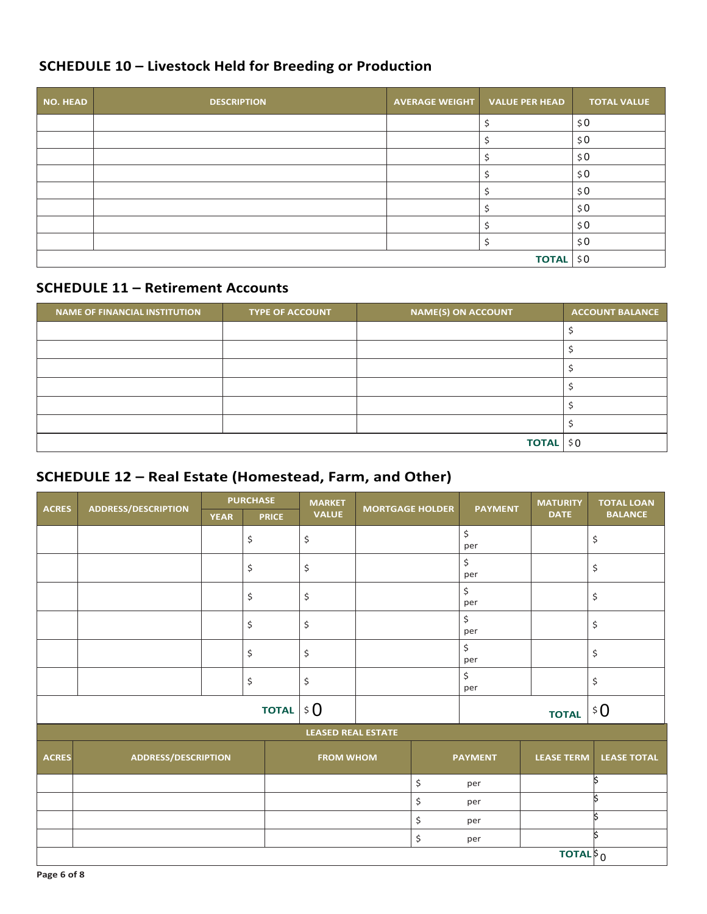# **SCHEDULE 10 – Livestock Held for Breeding or Production**

| <b>NO. HEAD</b> | <b>DESCRIPTION</b> | AVERAGE WEIGHT   VALUE PER HEAD |  | <b>TOTAL VALUE</b> |
|-----------------|--------------------|---------------------------------|--|--------------------|
|                 |                    |                                 |  | \$0                |
|                 |                    |                                 |  | \$0                |
|                 |                    |                                 |  | \$0                |
|                 |                    |                                 |  | \$0                |
|                 |                    |                                 |  | \$0                |
|                 |                    |                                 |  | \$0                |
|                 |                    |                                 |  | \$0                |
|                 |                    |                                 |  | \$0                |
|                 | <b>TOTAL</b>       | \$0                             |  |                    |

#### **SCHEDULE 11 – Retirement Accounts**

| <b>NAME OF FINANCIAL INSTITUTION</b> | <b>TYPE OF ACCOUNT</b> | <b>NAME(S) ON ACCOUNT</b> | <b>ACCOUNT BALANCE</b> |
|--------------------------------------|------------------------|---------------------------|------------------------|
|                                      |                        |                           |                        |
|                                      |                        |                           |                        |
|                                      |                        |                           |                        |
|                                      |                        |                           |                        |
|                                      |                        |                           |                        |
|                                      |                        |                           |                        |
|                                      |                        | <b>TOTAL</b>              | \$0                    |

### **SCHEDULE 12 – Real Estate (Homestead, Farm, and Other)**

|              |                            |             | <b>PURCHASE</b> | <b>MARKET</b>             |                        |                | <b>MATURITY</b>                                              | <b>TOTAL LOAN</b>    |
|--------------|----------------------------|-------------|-----------------|---------------------------|------------------------|----------------|--------------------------------------------------------------|----------------------|
| <b>ACRES</b> | <b>ADDRESS/DESCRIPTION</b> | <b>YEAR</b> | <b>PRICE</b>    | <b>VALUE</b>              | <b>MORTGAGE HOLDER</b> | <b>PAYMENT</b> | <b>DATE</b>                                                  | <b>BALANCE</b>       |
|              |                            |             | \$              | \$                        |                        | \$<br>per      |                                                              | \$                   |
|              |                            |             | \$              | \$                        |                        | \$<br>per      |                                                              | \$                   |
|              |                            |             | \$              | \$                        |                        | \$<br>per      |                                                              | $\boldsymbol{\zeta}$ |
|              |                            |             | \$              | \$                        |                        | \$<br>per      |                                                              | \$                   |
|              |                            |             | \$              | \$                        |                        | \$<br>per      |                                                              | \$                   |
|              |                            |             | \$              | \$                        |                        | \$<br>per      |                                                              | \$                   |
|              |                            |             | <b>TOTAL</b>    | \$0\$                     |                        |                | <b>TOTAL</b>                                                 | \$0\$                |
|              |                            |             |                 | <b>LEASED REAL ESTATE</b> |                        |                |                                                              |                      |
| <b>ACRES</b> | <b>ADDRESS/DESCRIPTION</b> |             |                 | <b>FROM WHOM</b>          |                        | <b>PAYMENT</b> | <b>LEASE TERM</b>                                            | <b>LEASE TOTAL</b>   |
|              |                            |             |                 |                           | \$                     | per            |                                                              | İ\$                  |
|              |                            |             |                 |                           | \$                     | per            |                                                              | ls.                  |
|              |                            |             |                 |                           | \$                     | per            |                                                              | k                    |
|              |                            |             |                 |                           | \$                     | per            |                                                              | k                    |
|              |                            |             |                 |                           |                        |                | <b>TOTAL</b> <sup><math>\frac{1}{2}</math><sub>0</sub></sup> |                      |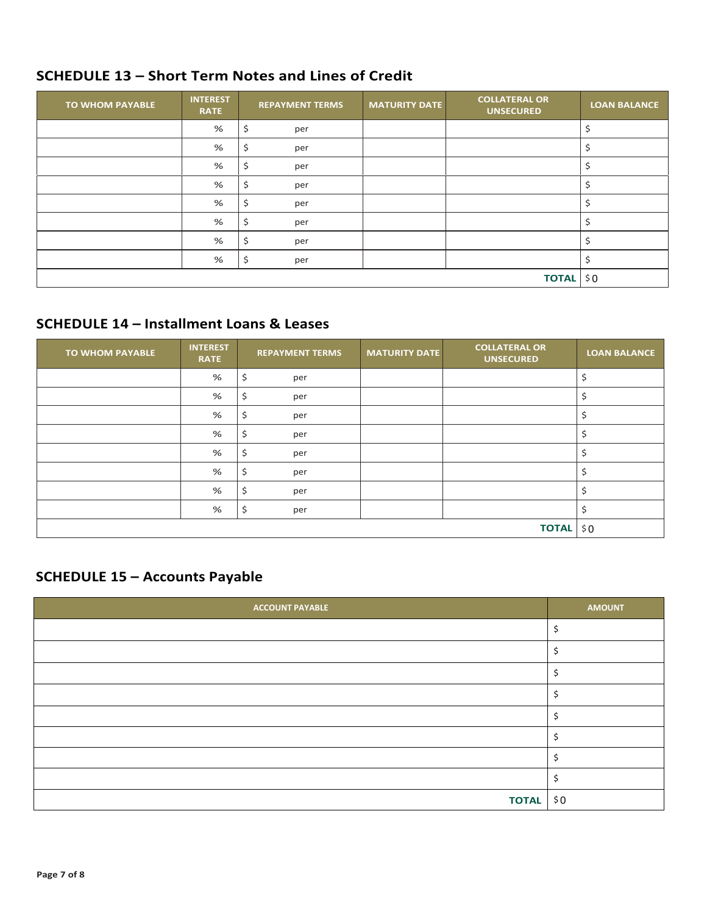### **SCHEDULE 13 - Short Term Notes and Lines of Credit**

| <b>TO WHOM PAYABLE</b> | <b>INTEREST</b><br><b>RATE</b> | <b>REPAYMENT TERMS</b> | <b>MATURITY DATE</b> | <b>COLLATERAL OR</b><br><b>UNSECURED</b> | <b>LOAN BALANCE</b> |
|------------------------|--------------------------------|------------------------|----------------------|------------------------------------------|---------------------|
|                        | %                              | \$<br>per              |                      |                                          |                     |
|                        | %                              | \$<br>per              |                      |                                          |                     |
|                        | %                              | \$<br>per              |                      |                                          |                     |
|                        | %                              | \$<br>per              |                      |                                          |                     |
|                        | %                              | \$<br>per              |                      |                                          |                     |
|                        | %                              | \$<br>per              |                      |                                          |                     |
|                        | %                              | \$<br>per              |                      |                                          |                     |
|                        | %                              | \$<br>per              |                      |                                          |                     |
|                        |                                |                        |                      | <b>TOTAL</b>                             | \$0                 |

### **SCHEDULE 14 - Installment Loans & Leases**

| <b>TO WHOM PAYABLE</b> | <b>INTEREST</b><br><b>RATE</b> | <b>REPAYMENT TERMS</b> | <b>MATURITY DATE</b> | <b>COLLATERAL OR</b><br><b>UNSECURED</b> | <b>LOAN BALANCE</b> |
|------------------------|--------------------------------|------------------------|----------------------|------------------------------------------|---------------------|
|                        | %                              | \$<br>per              |                      |                                          | \$                  |
|                        | %                              | \$<br>per              |                      |                                          | \$                  |
|                        | %                              | \$<br>per              |                      |                                          | \$                  |
|                        | %                              | \$<br>per              |                      |                                          | \$                  |
|                        | %                              | \$<br>per              |                      |                                          | \$                  |
|                        | %                              | \$<br>per              |                      |                                          | \$                  |
|                        | %                              | \$<br>per              |                      |                                          | \$                  |
|                        | %                              | \$<br>per              |                      |                                          | \$                  |
|                        |                                |                        |                      | <b>TOTAL</b>                             | \$0\$               |

### **SCHEDULE 15 - Accounts Payable**

| <b>ACCOUNT PAYABLE</b> | <b>AMOUNT</b> |
|------------------------|---------------|
|                        | ς             |
|                        |               |
|                        |               |
|                        |               |
|                        |               |
|                        |               |
|                        |               |
|                        |               |
| <b>TOTAL</b>           | \$0           |